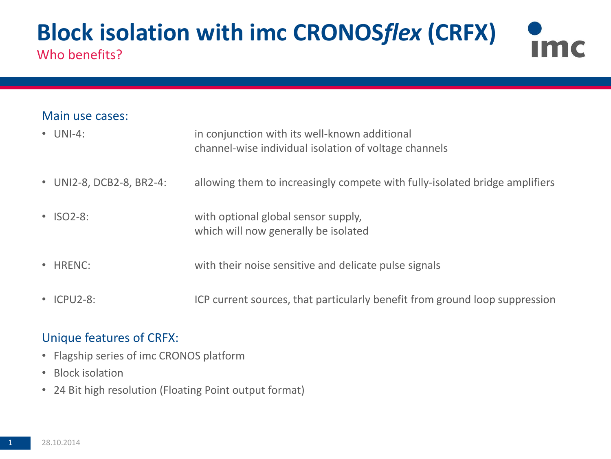### **Block isolation with imc CRONOS***flex* **(CRFX)** Im Who benefits?

### Main use cases:

| $\bullet$ UNI-4:         | in conjunction with its well-known additional<br>channel-wise individual isolation of voltage channels |
|--------------------------|--------------------------------------------------------------------------------------------------------|
| • UNI2-8, DCB2-8, BR2-4: | allowing them to increasingly compete with fully-isolated bridge amplifiers                            |
| $\cdot$ ISO2-8:          | with optional global sensor supply,<br>which will now generally be isolated                            |
| • HRENC:                 | with their noise sensitive and delicate pulse signals                                                  |
| • ICPU2-8:               | ICP current sources, that particularly benefit from ground loop suppression                            |

### Unique features of CRFX:

- Flagship series of imc CRONOS platform
- Block isolation
- 24 Bit high resolution (Floating Point output format)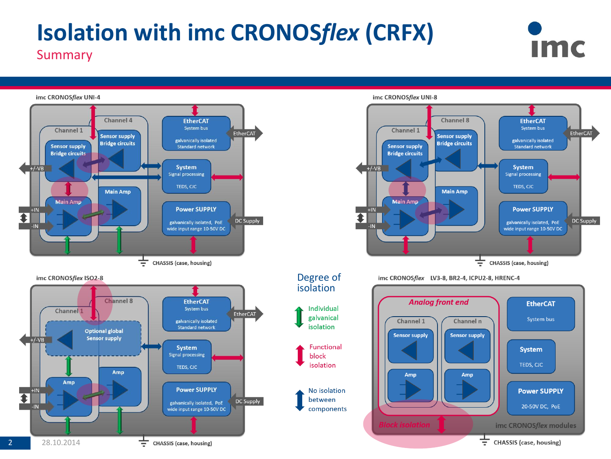# **Isolation with imc CRONOS***flex* **(CRFX)** Summary